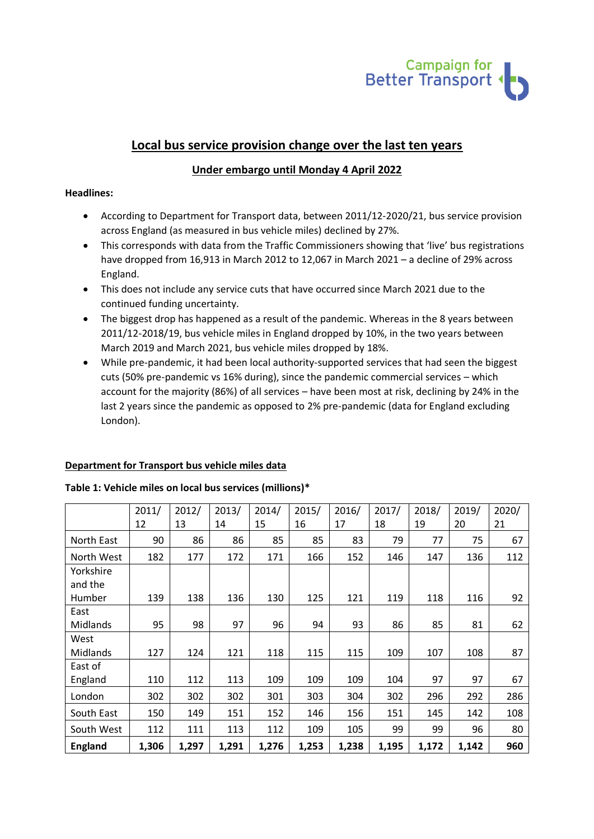

# **Local bus service provision change over the last ten years**

# **Under embargo until Monday 4 April 2022**

# **Headlines:**

- According to Department for Transport data, between 2011/12-2020/21, bus service provision across England (as measured in bus vehicle miles) declined by 27%.
- This corresponds with data from the Traffic Commissioners showing that 'live' bus registrations have dropped from 16,913 in March 2012 to 12,067 in March 2021 – a decline of 29% across England.
- This does not include any service cuts that have occurred since March 2021 due to the continued funding uncertainty.
- The biggest drop has happened as a result of the pandemic. Whereas in the 8 years between 2011/12-2018/19, bus vehicle miles in England dropped by 10%, in the two years between March 2019 and March 2021, bus vehicle miles dropped by 18%.
- While pre-pandemic, it had been local authority-supported services that had seen the biggest cuts (50% pre-pandemic vs 16% during), since the pandemic commercial services – which account for the majority (86%) of all services – have been most at risk, declining by 24% in the last 2 years since the pandemic as opposed to 2% pre-pandemic (data for England excluding London).

# **Department for Transport bus vehicle miles data**

#### **Table 1: Vehicle miles on local bus services (millions)\***

|                | 2011/ | 2012/ | 2013/ | 2014/ | 2015/ | 2016/ | 2017/ | 2018/ | 2019/ | 2020/ |
|----------------|-------|-------|-------|-------|-------|-------|-------|-------|-------|-------|
|                | 12    | 13    | 14    | 15    | 16    | 17    | 18    | 19    | 20    | 21    |
| North East     | 90    | 86    | 86    | 85    | 85    | 83    | 79    | 77    | 75    | 67    |
| North West     | 182   | 177   | 172   | 171   | 166   | 152   | 146   | 147   | 136   | 112   |
| Yorkshire      |       |       |       |       |       |       |       |       |       |       |
| and the        |       |       |       |       |       |       |       |       |       |       |
| Humber         | 139   | 138   | 136   | 130   | 125   | 121   | 119   | 118   | 116   | 92    |
| East           |       |       |       |       |       |       |       |       |       |       |
| Midlands       | 95    | 98    | 97    | 96    | 94    | 93    | 86    | 85    | 81    | 62    |
| West           |       |       |       |       |       |       |       |       |       |       |
| Midlands       | 127   | 124   | 121   | 118   | 115   | 115   | 109   | 107   | 108   | 87    |
| East of        |       |       |       |       |       |       |       |       |       |       |
| England        | 110   | 112   | 113   | 109   | 109   | 109   | 104   | 97    | 97    | 67    |
| London         | 302   | 302   | 302   | 301   | 303   | 304   | 302   | 296   | 292   | 286   |
| South East     | 150   | 149   | 151   | 152   | 146   | 156   | 151   | 145   | 142   | 108   |
| South West     | 112   | 111   | 113   | 112   | 109   | 105   | 99    | 99    | 96    | 80    |
| <b>England</b> | 1,306 | 1,297 | 1,291 | 1,276 | 1,253 | 1,238 | 1,195 | 1,172 | 1,142 | 960   |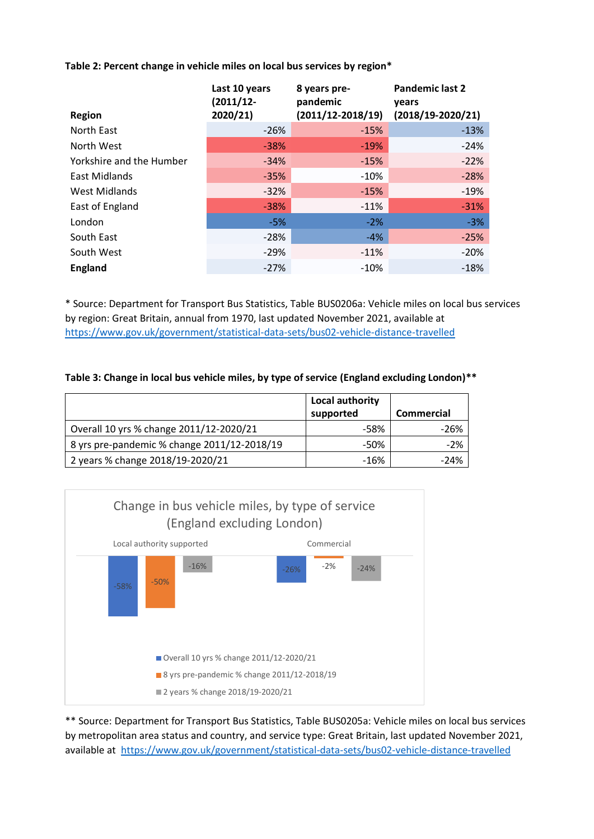**Table 2: Percent change in vehicle miles on local bus services by region\***

| <b>Region</b>            | Last 10 years<br>$(2011/12 -$<br>2020/21) | 8 years pre-<br>pandemic<br>$(2011/12 - 2018/19)$ | <b>Pandemic last 2</b><br>years<br>$(2018/19-2020/21)$ |
|--------------------------|-------------------------------------------|---------------------------------------------------|--------------------------------------------------------|
| North East               | $-26%$                                    | $-15%$                                            | $-13%$                                                 |
| North West               | $-38%$                                    | $-19%$                                            | $-24%$                                                 |
| Yorkshire and the Humber | $-34%$                                    | $-15%$                                            | $-22%$                                                 |
| East Midlands            | $-35%$                                    | $-10%$                                            | $-28%$                                                 |
| West Midlands            | $-32%$                                    | $-15%$                                            | $-19%$                                                 |
| East of England          | $-38%$                                    | $-11%$                                            | $-31%$                                                 |
| London                   | $-5%$                                     | $-2%$                                             | $-3%$                                                  |
| South East               | $-28%$                                    | $-4%$                                             | $-25%$                                                 |
| South West               | $-29%$                                    | $-11%$                                            | $-20%$                                                 |
| <b>England</b>           | $-27%$                                    | $-10%$                                            | $-18%$                                                 |

\* Source: Department for Transport Bus Statistics, Table BUS0206a: Vehicle miles on local bus services by region: Great Britain, annual from 1970, last updated November 2021, available at <https://www.gov.uk/government/statistical-data-sets/bus02-vehicle-distance-travelled>

# **Table 3: Change in local bus vehicle miles, by type of service (England excluding London)\*\***

|                                             | Local authority<br>supported | <b>Commercial</b> |
|---------------------------------------------|------------------------------|-------------------|
| Overall 10 yrs % change 2011/12-2020/21     | -58%                         | -26%              |
| 8 yrs pre-pandemic % change 2011/12-2018/19 | -50%                         | $-2\%$            |
| 2 years % change 2018/19-2020/21            | $-16%$                       | $-24%$            |



\*\* Source: Department for Transport Bus Statistics, Table BUS0205a: Vehicle miles on local bus services by metropolitan area status and country, and service type: Great Britain, last updated November 2021, available at <https://www.gov.uk/government/statistical-data-sets/bus02-vehicle-distance-travelled>